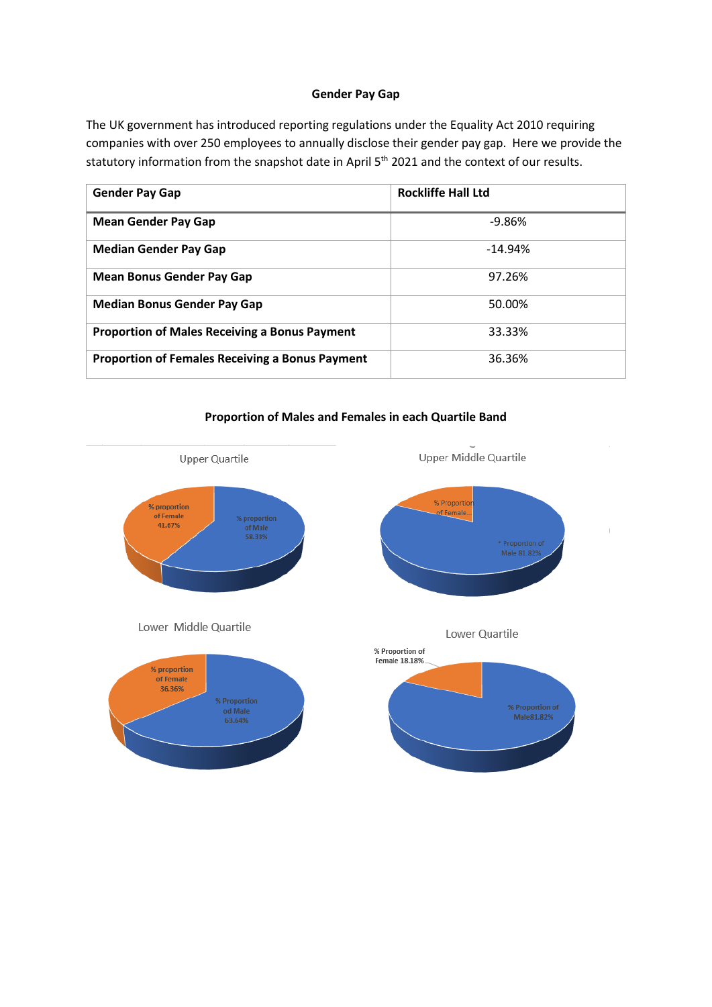## **Gender Pay Gap**

The UK government has introduced reporting regulations under the Equality Act 2010 requiring companies with over 250 employees to annually disclose their gender pay gap. Here we provide the statutory information from the snapshot date in April 5<sup>th</sup> 2021 and the context of our results.

| <b>Gender Pay Gap</b>                                  | <b>Rockliffe Hall Ltd</b> |
|--------------------------------------------------------|---------------------------|
| <b>Mean Gender Pay Gap</b>                             | $-9.86%$                  |
| <b>Median Gender Pay Gap</b>                           | $-14.94%$                 |
| <b>Mean Bonus Gender Pay Gap</b>                       | 97.26%                    |
| <b>Median Bonus Gender Pay Gap</b>                     | 50.00%                    |
| <b>Proportion of Males Receiving a Bonus Payment</b>   | 33.33%                    |
| <b>Proportion of Females Receiving a Bonus Payment</b> | 36.36%                    |

## **Proportion of Males and Females in each Quartile Band**

 $\langle$